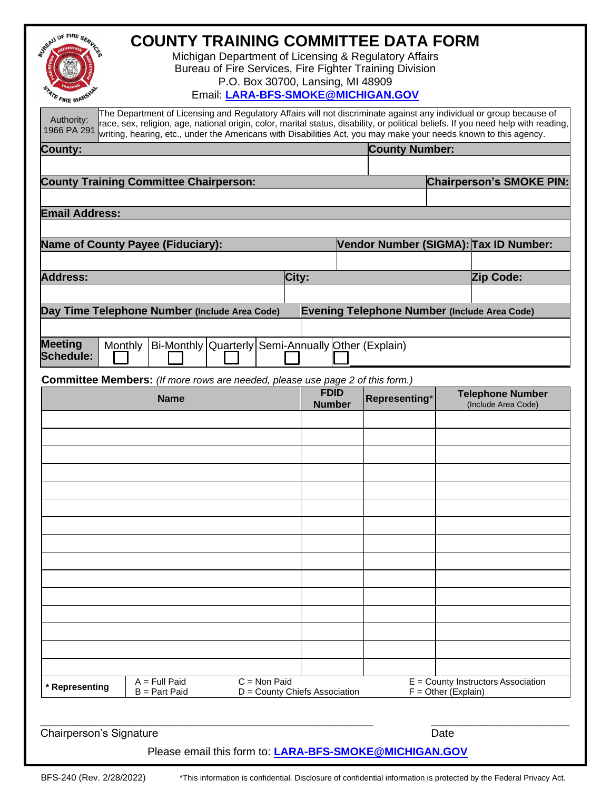| JUSEAU OF FIRE SERV<br><b>COUNTY TRAINING COMMITTEE DATA FORM</b><br>Michigan Department of Licensing & Regulatory Affairs<br>Bureau of Fire Services, Fire Fighter Training Division<br>P.O. Box 30700, Lansing, MI 48909<br>Email: LARA-BFS-SMOKE@MICHIGAN.GOV<br>FIRE MARS<br>The Department of Licensing and Regulatory Affairs will not discriminate against any individual or group because of<br>Authority:<br>race, sex, religion, age, national origin, color, marital status, disability, or political beliefs. If you need help with reading,<br>1966 PA 291<br>writing, hearing, etc., under the Americans with Disabilities Act, you may make your needs known to this agency.<br>County:<br><b>County Training Committee Chairperson:</b><br><b>Email Address:</b> |                               | <b>County Number:</b>                               |                       | <b>Chairperson's SMOKE PIN:</b>                |
|----------------------------------------------------------------------------------------------------------------------------------------------------------------------------------------------------------------------------------------------------------------------------------------------------------------------------------------------------------------------------------------------------------------------------------------------------------------------------------------------------------------------------------------------------------------------------------------------------------------------------------------------------------------------------------------------------------------------------------------------------------------------------------|-------------------------------|-----------------------------------------------------|-----------------------|------------------------------------------------|
|                                                                                                                                                                                                                                                                                                                                                                                                                                                                                                                                                                                                                                                                                                                                                                                  |                               |                                                     |                       |                                                |
| <b>Name of County Payee (Fiduciary):</b>                                                                                                                                                                                                                                                                                                                                                                                                                                                                                                                                                                                                                                                                                                                                         |                               |                                                     |                       | Vendor Number (SIGMA): Tax ID Number:          |
| <b>Address:</b>                                                                                                                                                                                                                                                                                                                                                                                                                                                                                                                                                                                                                                                                                                                                                                  | City:                         |                                                     |                       | Zip Code:                                      |
|                                                                                                                                                                                                                                                                                                                                                                                                                                                                                                                                                                                                                                                                                                                                                                                  |                               |                                                     |                       |                                                |
| Day Time Telephone Number (Include Area Code)                                                                                                                                                                                                                                                                                                                                                                                                                                                                                                                                                                                                                                                                                                                                    |                               | <b>Evening Telephone Number (Include Area Code)</b> |                       |                                                |
|                                                                                                                                                                                                                                                                                                                                                                                                                                                                                                                                                                                                                                                                                                                                                                                  |                               |                                                     |                       |                                                |
| <b>Meeting</b><br>Bi-Monthly Quarterly Semi-Annually Other (Explain)<br>Monthly<br><b>Schedule:</b>                                                                                                                                                                                                                                                                                                                                                                                                                                                                                                                                                                                                                                                                              |                               |                                                     |                       |                                                |
| <b>Committee Members:</b> (If more rows are needed, please use page 2 of this form.)                                                                                                                                                                                                                                                                                                                                                                                                                                                                                                                                                                                                                                                                                             |                               |                                                     |                       |                                                |
| <b>Name</b>                                                                                                                                                                                                                                                                                                                                                                                                                                                                                                                                                                                                                                                                                                                                                                      | <b>FDID</b><br><b>Number</b>  | Representing*                                       |                       | <b>Telephone Number</b><br>(Include Area Code) |
|                                                                                                                                                                                                                                                                                                                                                                                                                                                                                                                                                                                                                                                                                                                                                                                  |                               |                                                     |                       |                                                |
|                                                                                                                                                                                                                                                                                                                                                                                                                                                                                                                                                                                                                                                                                                                                                                                  |                               |                                                     |                       |                                                |
|                                                                                                                                                                                                                                                                                                                                                                                                                                                                                                                                                                                                                                                                                                                                                                                  |                               |                                                     |                       |                                                |
|                                                                                                                                                                                                                                                                                                                                                                                                                                                                                                                                                                                                                                                                                                                                                                                  |                               |                                                     |                       |                                                |
|                                                                                                                                                                                                                                                                                                                                                                                                                                                                                                                                                                                                                                                                                                                                                                                  |                               |                                                     |                       |                                                |
|                                                                                                                                                                                                                                                                                                                                                                                                                                                                                                                                                                                                                                                                                                                                                                                  |                               |                                                     |                       |                                                |
|                                                                                                                                                                                                                                                                                                                                                                                                                                                                                                                                                                                                                                                                                                                                                                                  |                               |                                                     |                       |                                                |
|                                                                                                                                                                                                                                                                                                                                                                                                                                                                                                                                                                                                                                                                                                                                                                                  |                               |                                                     |                       |                                                |
|                                                                                                                                                                                                                                                                                                                                                                                                                                                                                                                                                                                                                                                                                                                                                                                  |                               |                                                     |                       |                                                |
|                                                                                                                                                                                                                                                                                                                                                                                                                                                                                                                                                                                                                                                                                                                                                                                  |                               |                                                     |                       |                                                |
|                                                                                                                                                                                                                                                                                                                                                                                                                                                                                                                                                                                                                                                                                                                                                                                  |                               |                                                     |                       |                                                |
|                                                                                                                                                                                                                                                                                                                                                                                                                                                                                                                                                                                                                                                                                                                                                                                  |                               |                                                     |                       |                                                |
|                                                                                                                                                                                                                                                                                                                                                                                                                                                                                                                                                                                                                                                                                                                                                                                  |                               |                                                     |                       |                                                |
| $C = Non$ Paid<br>$A = Full$ Paid<br>* Representing<br>$B = Part$ Paid                                                                                                                                                                                                                                                                                                                                                                                                                                                                                                                                                                                                                                                                                                           | D = County Chiefs Association |                                                     | $F =$ Other (Explain) | $E =$ County Instructors Association           |
|                                                                                                                                                                                                                                                                                                                                                                                                                                                                                                                                                                                                                                                                                                                                                                                  |                               |                                                     |                       |                                                |
| <b>Chairperson's Signature</b>                                                                                                                                                                                                                                                                                                                                                                                                                                                                                                                                                                                                                                                                                                                                                   |                               |                                                     | Date                  |                                                |
| Please email this form to: LARA-BFS-SMOKE@MICHIGAN.GOV                                                                                                                                                                                                                                                                                                                                                                                                                                                                                                                                                                                                                                                                                                                           |                               |                                                     |                       |                                                |